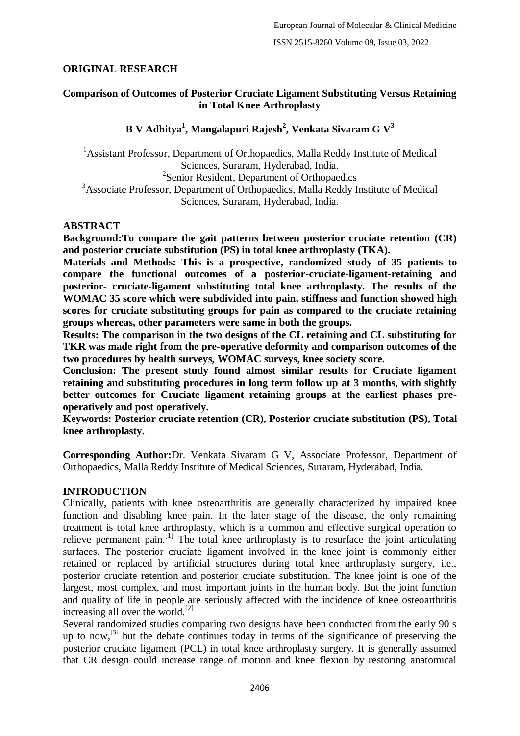## **ORIGINAL RESEARCH**

## **Comparison of Outcomes of Posterior Cruciate Ligament Substituting Versus Retaining in Total Knee Arthroplasty**

## **B V Adhitya<sup>1</sup> , Mangalapuri Rajesh<sup>2</sup> , Venkata Sivaram G V<sup>3</sup>**

<sup>1</sup>Assistant Professor, Department of Orthopaedics, Malla Reddy Institute of Medical Sciences, Suraram, Hyderabad, India. <sup>2</sup> Senior Resident, Department of Orthopaedics <sup>3</sup>Associate Professor, Department of Orthopaedics, Malla Reddy Institute of Medical Sciences, Suraram, Hyderabad, India.

#### **ABSTRACT**

**Background:To compare the gait patterns between posterior cruciate retention (CR) and posterior cruciate substitution (PS) in total knee arthroplasty (TKA).**

**Materials and Methods: This is a prospective, randomized study of 35 patients to compare the functional outcomes of a posterior-cruciate-ligament-retaining and posterior- cruciate-ligament substituting total knee arthroplasty. The results of the WOMAC 35 score which were subdivided into pain, stiffness and function showed high scores for cruciate substituting groups for pain as compared to the cruciate retaining groups whereas, other parameters were same in both the groups.**

**Results: The comparison in the two designs of the CL retaining and CL substituting for TKR was made right from the pre-operative deformity and comparison outcomes of the two procedures by health surveys, WOMAC surveys, knee society score.**

**Conclusion: The present study found almost similar results for Cruciate ligament retaining and substituting procedures in long term follow up at 3 months, with slightly better outcomes for Cruciate ligament retaining groups at the earliest phases preoperatively and post operatively.**

**Keywords: Posterior cruciate retention (CR), Posterior cruciate substitution (PS), Total knee arthroplasty.**

**Corresponding Author:**Dr. Venkata Sivaram G V, Associate Professor, Department of Orthopaedics, Malla Reddy Institute of Medical Sciences, Suraram, Hyderabad, India.

## **INTRODUCTION**

Clinically, patients with knee osteoarthritis are generally characterized by impaired knee function and disabling knee pain. In the later stage of the disease, the only remaining treatment is total knee arthroplasty, which is a common and effective surgical operation to relieve permanent pain.<sup>[1]</sup> The total knee arthroplasty is to resurface the joint articulating surfaces. The posterior cruciate ligament involved in the knee joint is commonly either retained or replaced by artificial structures during total knee arthroplasty surgery, i.e., posterior cruciate retention and posterior cruciate substitution. The knee joint is one of the largest, most complex, and most important joints in the human body. But the joint function and quality of life in people are seriously affected with the incidence of knee osteoarthritis increasing all over the world.<sup>[2]</sup>

Several randomized studies comparing two designs have been conducted from the early 90 s up to now,<sup>[3]</sup> but the debate continues today in terms of the significance of preserving the posterior cruciate ligament (PCL) in total knee arthroplasty surgery. It is generally assumed that CR design could increase range of motion and knee flexion by restoring anatomical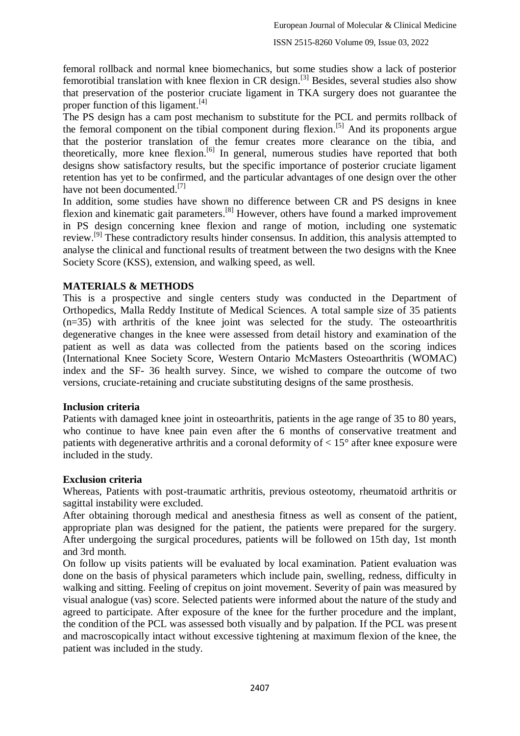femoral rollback and normal knee biomechanics, but some studies show a lack of posterior femorotibial translation with knee flexion in CR design.<sup>[3]</sup> Besides, several studies also show that preservation of the posterior cruciate ligament in TKA surgery does not guarantee the proper function of this ligament.<sup>[4]</sup>

The PS design has a cam post mechanism to substitute for the PCL and permits rollback of the femoral component on the tibial component during flexion.<sup>[5]</sup> And its proponents argue that the posterior translation of the femur creates more clearance on the tibia, and theoretically, more knee flexion.<sup>[6]</sup> In general, numerous studies have reported that both designs show satisfactory results, but the specific importance of posterior cruciate ligament retention has yet to be confirmed, and the particular advantages of one design over the other have not been documented.<sup>[7]</sup>

In addition, some studies have shown no difference between CR and PS designs in knee flexion and kinematic gait parameters.<sup>[8]</sup> However, others have found a marked improvement in PS design concerning knee flexion and range of motion, including one systematic review.<sup>[9]</sup> These contradictory results hinder consensus. In addition, this analysis attempted to analyse the clinical and functional results of treatment between the two designs with the Knee Society Score (KSS), extension, and walking speed, as well.

## **MATERIALS & METHODS**

This is a prospective and single centers study was conducted in the Department of Orthopedics, Malla Reddy Institute of Medical Sciences. A total sample size of 35 patients (n=35) with arthritis of the knee joint was selected for the study. The osteoarthritis degenerative changes in the knee were assessed from detail history and examination of the patient as well as data was collected from the patients based on the scoring indices (International Knee Society Score, Western Ontario McMasters Osteoarthritis (WOMAC) index and the SF- 36 health survey. Since, we wished to compare the outcome of two versions, cruciate-retaining and cruciate substituting designs of the same prosthesis.

#### **Inclusion criteria**

Patients with damaged knee joint in osteoarthritis, patients in the age range of 35 to 80 years, who continue to have knee pain even after the 6 months of conservative treatment and patients with degenerative arthritis and a coronal deformity of  $< 15^{\circ}$  after knee exposure were included in the study.

#### **Exclusion criteria**

Whereas, Patients with post-traumatic arthritis, previous osteotomy, rheumatoid arthritis or sagittal instability were excluded.

After obtaining thorough medical and anesthesia fitness as well as consent of the patient, appropriate plan was designed for the patient, the patients were prepared for the surgery. After undergoing the surgical procedures, patients will be followed on 15th day, 1st month and 3rd month.

On follow up visits patients will be evaluated by local examination. Patient evaluation was done on the basis of physical parameters which include pain, swelling, redness, difficulty in walking and sitting. Feeling of crepitus on joint movement. Severity of pain was measured by visual analogue (vas) score. Selected patients were informed about the nature of the study and agreed to participate. After exposure of the knee for the further procedure and the implant, the condition of the PCL was assessed both visually and by palpation. If the PCL was present and macroscopically intact without excessive tightening at maximum flexion of the knee, the patient was included in the study.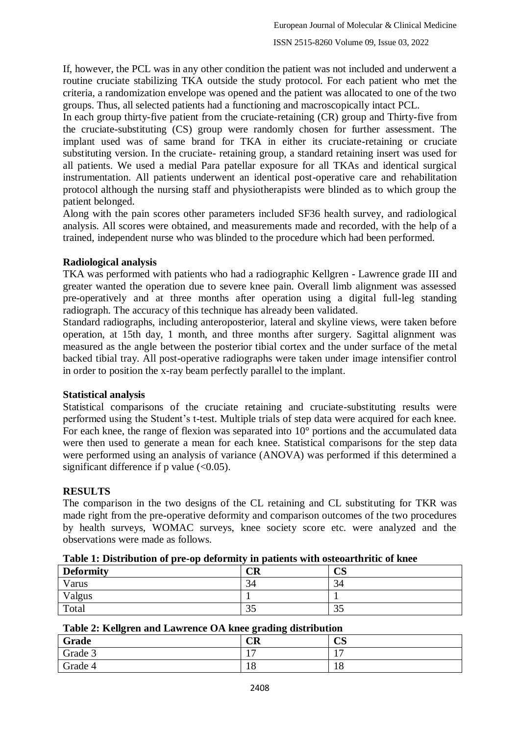If, however, the PCL was in any other condition the patient was not included and underwent a routine cruciate stabilizing TKA outside the study protocol. For each patient who met the criteria, a randomization envelope was opened and the patient was allocated to one of the two groups. Thus, all selected patients had a functioning and macroscopically intact PCL.

In each group thirty-five patient from the cruciate-retaining (CR) group and Thirty-five from the cruciate-substituting (CS) group were randomly chosen for further assessment. The implant used was of same brand for TKA in either its cruciate-retaining or cruciate substituting version. In the cruciate- retaining group, a standard retaining insert was used for all patients. We used a medial Para patellar exposure for all TKAs and identical surgical instrumentation. All patients underwent an identical post-operative care and rehabilitation protocol although the nursing staff and physiotherapists were blinded as to which group the patient belonged.

Along with the pain scores other parameters included SF36 health survey, and radiological analysis. All scores were obtained, and measurements made and recorded, with the help of a trained, independent nurse who was blinded to the procedure which had been performed.

## **Radiological analysis**

TKA was performed with patients who had a radiographic Kellgren - Lawrence grade III and greater wanted the operation due to severe knee pain. Overall limb alignment was assessed pre-operatively and at three months after operation using a digital full-leg standing radiograph. The accuracy of this technique has already been validated.

Standard radiographs, including anteroposterior, lateral and skyline views, were taken before operation, at 15th day, 1 month, and three months after surgery. Sagittal alignment was measured as the angle between the posterior tibial cortex and the under surface of the metal backed tibial tray. All post-operative radiographs were taken under image intensifier control in order to position the x-ray beam perfectly parallel to the implant.

#### **Statistical analysis**

Statistical comparisons of the cruciate retaining and cruciate-substituting results were performed using the Student's t-test. Multiple trials of step data were acquired for each knee. For each knee, the range of flexion was separated into 10° portions and the accumulated data were then used to generate a mean for each knee. Statistical comparisons for the step data were performed using an analysis of variance (ANOVA) was performed if this determined a significant difference if  $p$  value (<0.05).

## **RESULTS**

The comparison in the two designs of the CL retaining and CL substituting for TKR was made right from the pre-operative deformity and comparison outcomes of the two procedures by health surveys, WOMAC surveys, knee society score etc. were analyzed and the observations were made as follows.

| <b>Deformity</b> | $\overline{\text{CR}}$ | nα<br>CJ |
|------------------|------------------------|----------|
| Varus            | 34                     | 34       |
| Valgus           |                        |          |
| Total            | JJ                     | JJ       |

#### **Table 1: Distribution of pre-op deformity in patients with osteoarthritic of knee**

#### **Table 2: Kellgren and Lawrence OA knee grading distribution**

| Grade   | CR | חמ<br>UD         |
|---------|----|------------------|
| Grade 3 | -  | $\overline{ }$   |
| Grade 4 | ΙU | $\sqrt{2}$<br>10 |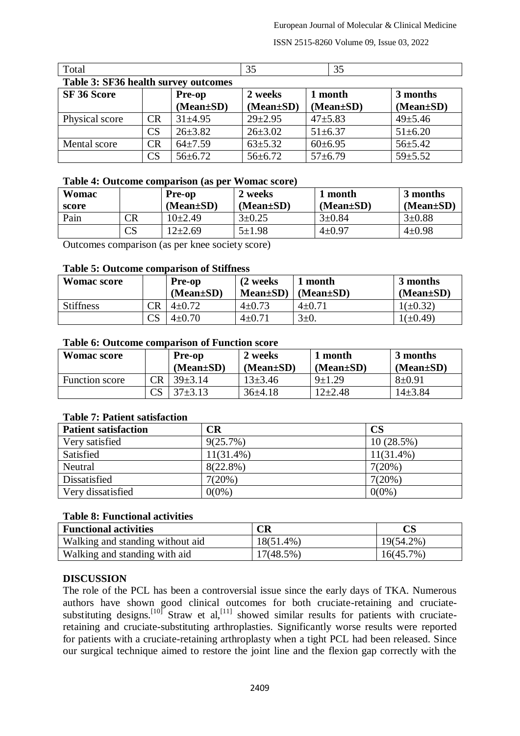ISSN 2515-8260 Volume 09, Issue 03, 2022

| Table 3: SF36 health survey outcomes |           |                 |                 |                 |                 |  |
|--------------------------------------|-----------|-----------------|-----------------|-----------------|-----------------|--|
| SF 36 Score                          |           | Pre-op          | 2 weeks         | 1 month         | 3 months        |  |
|                                      |           | $(Mean \pm SD)$ | $(Mean \pm SD)$ | $(Mean \pm SD)$ | $(Mean \pm SD)$ |  |
| Physical score                       | <b>CR</b> | $31\pm4.95$     | $29 \pm 2.95$   | $47 + 5.83$     | $49 \pm 5.46$   |  |
|                                      | CS        | $26 \pm 3.82$   | $26 \pm 3.02$   | $51 \pm 6.37$   | $51 \pm 6.20$   |  |
| Mental score                         | <b>CR</b> | $64\pm7.59$     | $63 \pm 5.32$   | $60\pm 6.95$    | $56 \pm 5.42$   |  |
|                                      | CS        | $56 \pm 6.72$   | $56 \pm 6.72$   | $57 \pm 6.79$   | $59 \pm 5.52$   |  |

# Total  $\begin{array}{|c|c|c|c|c|} \hline 35 & 35 \end{array}$  \ 35

#### **Table 4: Outcome comparison (as per Womac score)**

| Womac         |                        | <b>Pre-op</b><br>(Mean±SD) | 2 weeks<br>$(Mean \pm SD)$ | l month<br>$(Mean \pm SD)$ | 3 months<br>$(Mean \pm SD)$ |
|---------------|------------------------|----------------------------|----------------------------|----------------------------|-----------------------------|
| score<br>Pain | $\mathbb{C}\mathsf{R}$ | $10+2.49$                  | $3 \pm 0.25$               | $3 \pm 0.84$               | $3 \pm 0.88$                |
|               | CS                     | 12±2.69                    | $5 \pm 1.98$               | $4 \pm 0.97$               | $4 \pm 0.98$                |

Outcomes comparison (as per knee society score)

#### **Table 5: Outcome comparison of Stiffness**

| <b>Womac score</b> |                        | <b>Pre-op</b><br>$(Mean \pm SD)$ | (2 weeks)<br>$Mean \pm SD$ ) | l month<br>(Mean±SD) | 3 months<br>$(Mean \pm SD)$ |
|--------------------|------------------------|----------------------------------|------------------------------|----------------------|-----------------------------|
| <b>Stiffness</b>   | $\mathbb{C}\mathrm{R}$ | $4\pm 0.72$                      | $4 \pm 0.73$                 | 4±0.71               | $1(\pm 0.32)$               |
|                    |                        | $4 \pm 0.70$                     | $4 \pm 0.71$                 | $3\pm 0$ .           | $1(\pm 0.49)$               |

#### **Table 6: Outcome comparison of Function score**

| <b>Womac score</b>    |    | <b>Pre-op</b>   | 2 weeks         | 1 month         | 3 months        |
|-----------------------|----|-----------------|-----------------|-----------------|-----------------|
|                       |    | $(Mean \pm SD)$ | $(Mean \pm SD)$ | $(Mean \pm SD)$ | $(Mean \pm SD)$ |
| <b>Function score</b> | ΞR | $39 + 3.14$     | $13\pm3.46$     | $9 + 1.29$      | $8 + 0.91$      |
|                       |    | $37\pm3.13$     | $36\pm4.18$     | $12\pm 2.48$    | $14\pm3.84$     |

#### **Table 7: Patient satisfaction**

| <b>Patient satisfaction</b> | $\overline{\text{CR}}$ | <b>CS</b>    |
|-----------------------------|------------------------|--------------|
| Very satisfied              | 9(25.7%)               | $10(28.5\%)$ |
| Satisfied                   | $11(31.4\%)$           | $11(31.4\%)$ |
| Neutral                     | $8(22.8\%)$            | 7(20%)       |
| Dissatisfied                | 7(20%)                 | $7(20\%)$    |
| Very dissatisfied           | $0(0\%)$               | $0(0\%)$     |

#### **Table 8: Functional activities**

| <b>Functional activities</b>     | CR           |           |
|----------------------------------|--------------|-----------|
| Walking and standing without aid | $18(51.4\%)$ | 19(54.2%) |
| Walking and standing with aid    | 17(48.5%)    | 16(45.7%) |

#### **DISCUSSION**

The role of the PCL has been a controversial issue since the early days of TKA. Numerous authors have shown good clinical outcomes for both cruciate-retaining and cruciatesubstituting designs.<sup>[10]</sup> Straw et al,<sup>[11]</sup> showed similar results for patients with cruciateretaining and cruciate-substituting arthroplasties. Significantly worse results were reported for patients with a cruciate-retaining arthroplasty when a tight PCL had been released. Since our surgical technique aimed to restore the joint line and the flexion gap correctly with the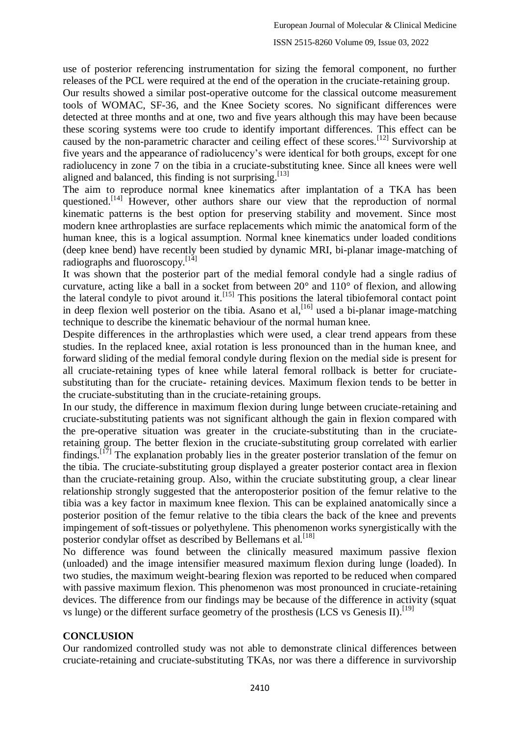use of posterior referencing instrumentation for sizing the femoral component, no further releases of the PCL were required at the end of the operation in the cruciate-retaining group.

Our results showed a similar post-operative outcome for the classical outcome measurement tools of WOMAC, SF-36, and the Knee Society scores. No significant differences were detected at three months and at one, two and five years although this may have been because these scoring systems were too crude to identify important differences. This effect can be caused by the non-parametric character and ceiling effect of these scores.<sup>[12]</sup> Survivorship at five years and the appearance of radiolucency's were identical for both groups, except for one radiolucency in zone 7 on the tibia in a cruciate-substituting knee. Since all knees were well aligned and balanced, this finding is not surprising.<sup>[13]</sup>

The aim to reproduce normal knee kinematics after implantation of a TKA has been questioned.[14] However, other authors share our view that the reproduction of normal kinematic patterns is the best option for preserving stability and movement. Since most modern knee arthroplasties are surface replacements which mimic the anatomical form of the human knee, this is a logical assumption. Normal knee kinematics under loaded conditions (deep knee bend) have recently been studied by dynamic MRI, bi-planar image-matching of radiographs and fluoroscopy.  $[14]$ 

It was shown that the posterior part of the medial femoral condyle had a single radius of curvature, acting like a ball in a socket from between 20° and 110° of flexion, and allowing the lateral condyle to pivot around it.<sup>[15]</sup> This positions the lateral tibiofemoral contact point in deep flexion well posterior on the tibia. Asano et al,<sup>[16]</sup> used a bi-planar image-matching technique to describe the kinematic behaviour of the normal human knee.

Despite differences in the arthroplasties which were used, a clear trend appears from these studies. In the replaced knee, axial rotation is less pronounced than in the human knee, and forward sliding of the medial femoral condyle during flexion on the medial side is present for all cruciate-retaining types of knee while lateral femoral rollback is better for cruciatesubstituting than for the cruciate- retaining devices. Maximum flexion tends to be better in the cruciate-substituting than in the cruciate-retaining groups.

In our study, the difference in maximum flexion during lunge between cruciate-retaining and cruciate-substituting patients was not significant although the gain in flexion compared with the pre-operative situation was greater in the cruciate-substituting than in the cruciateretaining group. The better flexion in the cruciate-substituting group correlated with earlier findings.<sup>[17]</sup> The explanation probably lies in the greater posterior translation of the femur on the tibia. The cruciate-substituting group displayed a greater posterior contact area in flexion than the cruciate-retaining group. Also, within the cruciate substituting group, a clear linear relationship strongly suggested that the anteroposterior position of the femur relative to the tibia was a key factor in maximum knee flexion. This can be explained anatomically since a posterior position of the femur relative to the tibia clears the back of the knee and prevents impingement of soft-tissues or polyethylene. This phenomenon works synergistically with the posterior condylar offset as described by Bellemans et al.<sup>[18]</sup>

No difference was found between the clinically measured maximum passive flexion (unloaded) and the image intensifier measured maximum flexion during lunge (loaded). In two studies, the maximum weight-bearing flexion was reported to be reduced when compared with passive maximum flexion. This phenomenon was most pronounced in cruciate-retaining devices. The difference from our findings may be because of the difference in activity (squat vs lunge) or the different surface geometry of the prosthesis (LCS vs Genesis II).<sup>[19]</sup>

## **CONCLUSION**

Our randomized controlled study was not able to demonstrate clinical differences between cruciate-retaining and cruciate-substituting TKAs, nor was there a difference in survivorship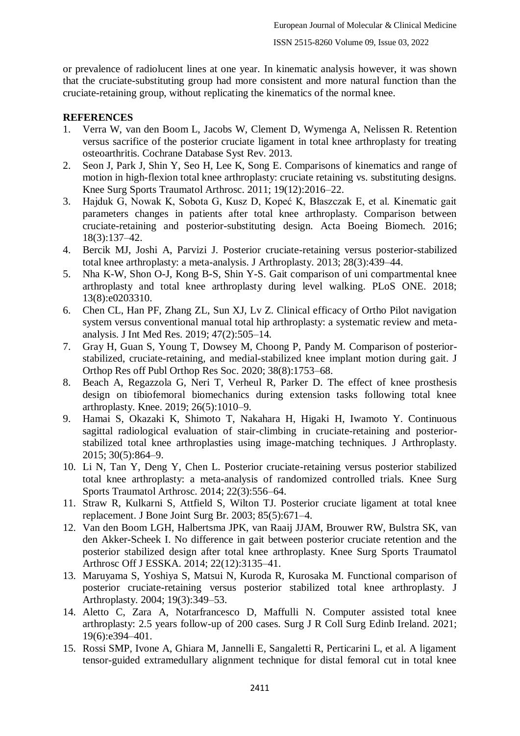or prevalence of radiolucent lines at one year. In kinematic analysis however, it was shown that the cruciate-substituting group had more consistent and more natural function than the cruciate-retaining group, without replicating the kinematics of the normal knee.

## **REFERENCES**

- 1. Verra W, van den Boom L, Jacobs W, Clement D, Wymenga A, Nelissen R. Retention versus sacrifice of the posterior cruciate ligament in total knee arthroplasty for treating osteoarthritis. Cochrane Database Syst Rev. 2013.
- 2. Seon J, Park J, Shin Y, Seo H, Lee K, Song E. Comparisons of kinematics and range of motion in high-flexion total knee arthroplasty: cruciate retaining vs. substituting designs. Knee Surg Sports Traumatol Arthrosc. 2011; 19(12):2016–22.
- 3. Hajduk G, Nowak K, Sobota G, Kusz D, Kopeć K, Błaszczak E, et al. Kinematic gait parameters changes in patients after total knee arthroplasty. Comparison between cruciate-retaining and posterior-substituting design. Acta Boeing Biomech. 2016; 18(3):137–42.
- 4. Bercik MJ, Joshi A, Parvizi J. Posterior cruciate-retaining versus posterior-stabilized total knee arthroplasty: a meta-analysis. J Arthroplasty. 2013; 28(3):439–44.
- 5. Nha K-W, Shon O-J, Kong B-S, Shin Y-S. Gait comparison of uni compartmental knee arthroplasty and total knee arthroplasty during level walking. PLoS ONE. 2018; 13(8):e0203310.
- 6. Chen CL, Han PF, Zhang ZL, Sun XJ, Lv Z. Clinical efficacy of Ortho Pilot navigation system versus conventional manual total hip arthroplasty: a systematic review and metaanalysis. J Int Med Res. 2019; 47(2):505–14.
- 7. Gray H, Guan S, Young T, Dowsey M, Choong P, Pandy M. Comparison of posteriorstabilized, cruciate-retaining, and medial-stabilized knee implant motion during gait. J Orthop Res off Publ Orthop Res Soc. 2020; 38(8):1753–68.
- 8. Beach A, Regazzola G, Neri T, Verheul R, Parker D. The effect of knee prosthesis design on tibiofemoral biomechanics during extension tasks following total knee arthroplasty. Knee. 2019; 26(5):1010–9.
- 9. Hamai S, Okazaki K, Shimoto T, Nakahara H, Higaki H, Iwamoto Y. Continuous sagittal radiological evaluation of stair-climbing in cruciate-retaining and posteriorstabilized total knee arthroplasties using image-matching techniques. J Arthroplasty. 2015; 30(5):864–9.
- 10. Li N, Tan Y, Deng Y, Chen L. Posterior cruciate-retaining versus posterior stabilized total knee arthroplasty: a meta-analysis of randomized controlled trials. Knee Surg Sports Traumatol Arthrosc. 2014; 22(3):556–64.
- 11. Straw R, Kulkarni S, Attfield S, Wilton TJ. Posterior cruciate ligament at total knee replacement. J Bone Joint Surg Br. 2003; 85(5):671–4.
- 12. Van den Boom LGH, Halbertsma JPK, van Raaij JJAM, Brouwer RW, Bulstra SK, van den Akker-Scheek I. No difference in gait between posterior cruciate retention and the posterior stabilized design after total knee arthroplasty. Knee Surg Sports Traumatol Arthrosc Off J ESSKA. 2014; 22(12):3135–41.
- 13. Maruyama S, Yoshiya S, Matsui N, Kuroda R, Kurosaka M. Functional comparison of posterior cruciate-retaining versus posterior stabilized total knee arthroplasty. J Arthroplasty. 2004; 19(3):349–53.
- 14. Aletto C, Zara A, Notarfrancesco D, Maffulli N. Computer assisted total knee arthroplasty: 2.5 years follow-up of 200 cases. Surg J R Coll Surg Edinb Ireland. 2021; 19(6):e394–401.
- 15. Rossi SMP, Ivone A, Ghiara M, Jannelli E, Sangaletti R, Perticarini L, et al. A ligament tensor-guided extramedullary alignment technique for distal femoral cut in total knee